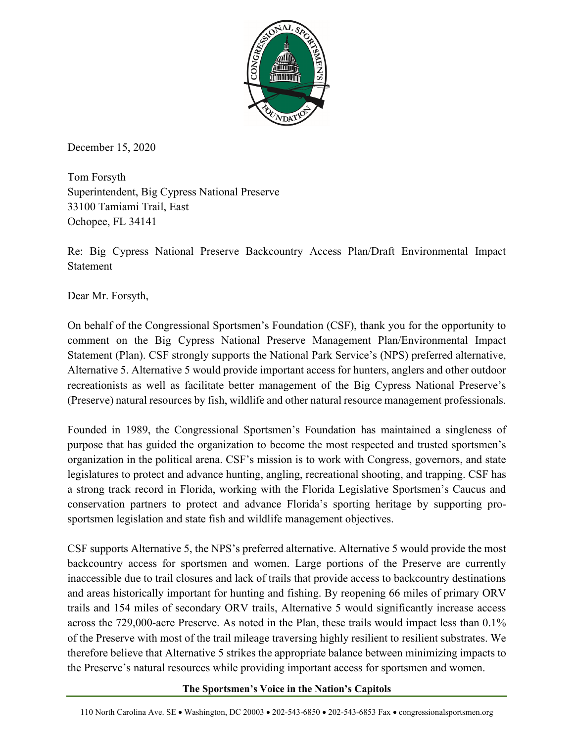

December 15, 2020

Tom Forsyth Superintendent, Big Cypress National Preserve 33100 Tamiami Trail, East Ochopee, FL 34141

Re: Big Cypress National Preserve Backcountry Access Plan/Draft Environmental Impact Statement

Dear Mr. Forsyth,

On behalf of the Congressional Sportsmen's Foundation (CSF), thank you for the opportunity to comment on the Big Cypress National Preserve Management Plan/Environmental Impact Statement (Plan). CSF strongly supports the National Park Service's (NPS) preferred alternative, Alternative 5. Alternative 5 would provide important access for hunters, anglers and other outdoor recreationists as well as facilitate better management of the Big Cypress National Preserve's (Preserve) natural resources by fish, wildlife and other natural resource management professionals.

Founded in 1989, the Congressional Sportsmen's Foundation has maintained a singleness of purpose that has guided the organization to become the most respected and trusted sportsmen's organization in the political arena. CSF's mission is to work with Congress, governors, and state legislatures to protect and advance hunting, angling, recreational shooting, and trapping. CSF has a strong track record in Florida, working with the Florida Legislative Sportsmen's Caucus and conservation partners to protect and advance Florida's sporting heritage by supporting prosportsmen legislation and state fish and wildlife management objectives.

CSF supports Alternative 5, the NPS's preferred alternative. Alternative 5 would provide the most backcountry access for sportsmen and women. Large portions of the Preserve are currently inaccessible due to trail closures and lack of trails that provide access to backcountry destinations and areas historically important for hunting and fishing. By reopening 66 miles of primary ORV trails and 154 miles of secondary ORV trails, Alternative 5 would significantly increase access across the 729,000-acre Preserve. As noted in the Plan, these trails would impact less than 0.1% of the Preserve with most of the trail mileage traversing highly resilient to resilient substrates. We therefore believe that Alternative 5 strikes the appropriate balance between minimizing impacts to the Preserve's natural resources while providing important access for sportsmen and women.

## **The Sportsmen's Voice in the Nation's Capitols**